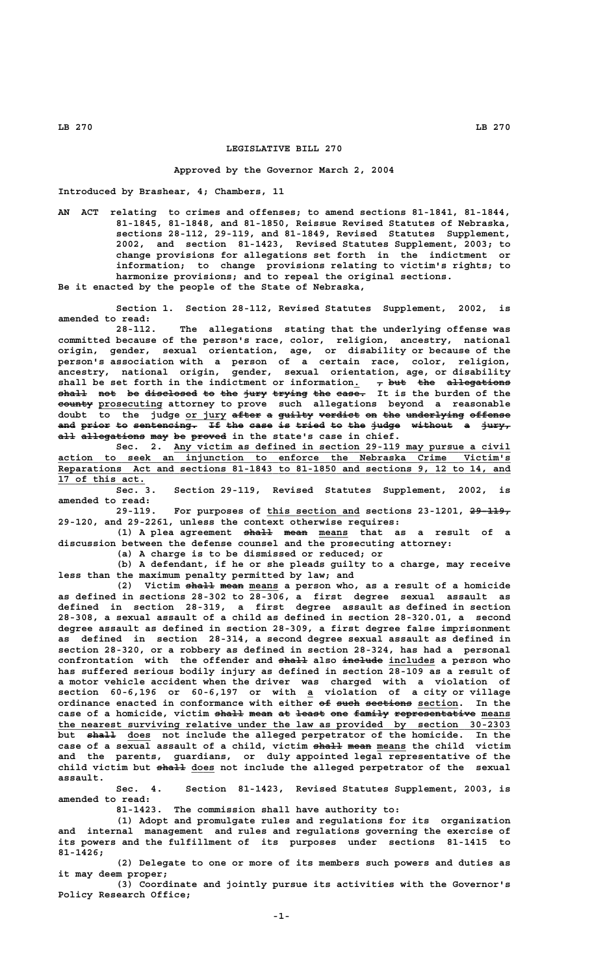## **LEGISLATIVE BILL 270**

## **Approved by the Governor March 2, 2004**

**Introduced by Brashear, 4; Chambers, 11**

**AN ACT relating to crimes and offenses; to amend sections 81-1841, 81-1844, 81-1845, 81-1848, and 81-1850, Reissue Revised Statutes of Nebraska, sections 28-112, 29-119, and 81-1849, Revised Statutes Supplement, 2002, and section 81-1423, Revised Statutes Supplement, 2003; to change provisions for allegations set forth in the indictment or information; to change provisions relating to victim's rights; to harmonize provisions; and to repeal the original sections. Be it enacted by the people of the State of Nebraska,**

**Section 1. Section 28-112, Revised Statutes Supplement, 2002, is amended to read:**

**28-112. The allegations stating that the underlying offense was committed because of the person's race, color, religion, ancestry, national origin, gender, sexual orientation, age, or disability or because of the person's association with a person of a certain race, color, religion, ancestry, national origin, gender, sexual orientation, age, or disability** shall be set forth in the indictment or information.  $\tau$  but the allegations **shall not be disclosed to the jury trying the case. It is the burden of the ————— ——— —— ————————— —— ——— ———— —————— ——— ————— —————— \_\_\_\_\_\_\_\_\_\_\_ county prosecuting attorney to prove such allegations beyond a reasonable doubt to the judge or jury after a guilty verdict on the underlying offense \_\_\_\_\_\_\_ ————— — —————— ——————— —— ——— —————————— —————— and prior to sentencing. If the case is tried to the judge without a jury, ——— ————— —— ——————————— —— ——— ———— —— ————— —— ——— ————— ——————— — ————** all allegations may be proved in the state's case in chief.

 **\_\_\_\_\_\_\_\_\_\_\_\_\_\_\_\_\_\_\_\_\_\_\_\_\_\_\_\_\_\_\_\_\_\_\_\_\_\_\_\_\_\_\_\_\_\_\_\_\_\_\_\_\_\_\_\_\_\_ Sec. 2. Any victim as defined in section 29-119 may pursue a civil \_\_\_\_\_\_\_\_\_\_\_\_\_\_\_\_\_\_\_\_\_\_\_\_\_\_\_\_\_\_\_\_\_\_\_\_\_\_\_\_\_\_\_\_\_\_\_\_\_\_\_\_\_\_\_\_\_\_\_\_\_\_\_\_\_\_\_\_\_\_\_\_\_\_\_\_\_\_ action to seek an injunction to enforce the Nebraska Crime Victim's \_\_\_\_\_\_\_\_\_\_\_\_\_\_\_\_\_\_\_\_\_\_\_\_\_\_\_\_\_\_\_\_\_\_\_\_\_\_\_\_\_\_\_\_\_\_\_\_\_\_\_\_\_\_\_\_\_\_\_\_\_\_\_\_\_\_\_\_\_\_\_\_\_\_\_\_\_\_ Reparations Act and sections 81-1843 to 81-1850 and sections 9, 12 to 14, and \_\_\_\_\_\_\_\_\_\_\_\_\_\_\_ 17 of this act.**

**Sec. 3. Section 29-119, Revised Statutes Supplement, 2002, is amended to read:**

 **\_\_\_\_\_\_\_\_\_\_\_\_\_\_\_\_ ——————— 29-119. For purposes of this section and sections 23-1201, 29-119, 29-120, and 29-2261, unless the context otherwise requires:**

(1) A plea agreement shall mean means that as a result of a **discussion between the defense counsel and the prosecuting attorney:**

**(a) A charge is to be dismissed or reduced; or**

**(b) A defendant, if he or she pleads guilty to a charge, may receive less than the maximum penalty permitted by law; and**

(2) Victim shall mean means a person who, as a result of a homicide **as defined in sections 28-302 to 28-306, a first degree sexual assault as defined in section 28-319, a first degree assault as defined in section 28-308, a sexual assault of a child as defined in section 28-320.01, a second degree assault as defined in section 28-309, a first degree false imprisonment as defined in section 28-314, a second degree sexual assault as defined in section 28-320, or a robbery as defined in section 28-324, has had a personal** confrontation with the offender and shall also includes a person who **has suffered serious bodily injury as defined in section 28-109 as a result of a motor vehicle accident when the driver was charged with a violation of \_ section 60-6,196 or 60-6,197 or with a violation of a city or village**  $\alpha$  ordinance enacted in conformance with either <del>of such sections</del> section. In the case of a homicide, victim shall mean at least one family representative means the nearest surviving relative under the law as provided by section 30-2303  **————— \_\_\_\_ but shall does not include the alleged perpetrator of the homicide. In the** case of a sexual assault of a child, victim <del>shall</del> mean means the child victim **and the parents, guardians, or duly appointed legal representative of the** child victim but shall does not include the alleged perpetrator of the sexual  **assault.**

**Sec. 4. Section 81-1423, Revised Statutes Supplement, 2003, is amended to read:**

**81-1423. The commission shall have authority to:**

**(1) Adopt and promulgate rules and regulations for its organization and internal management and rules and regulations governing the exercise of its powers and the fulfillment of its purposes under sections 81-1415 to 81-1426;**

**(2) Delegate to one or more of its members such powers and duties as it may deem proper;**

**(3) Coordinate and jointly pursue its activities with the Governor's Policy Research Office;**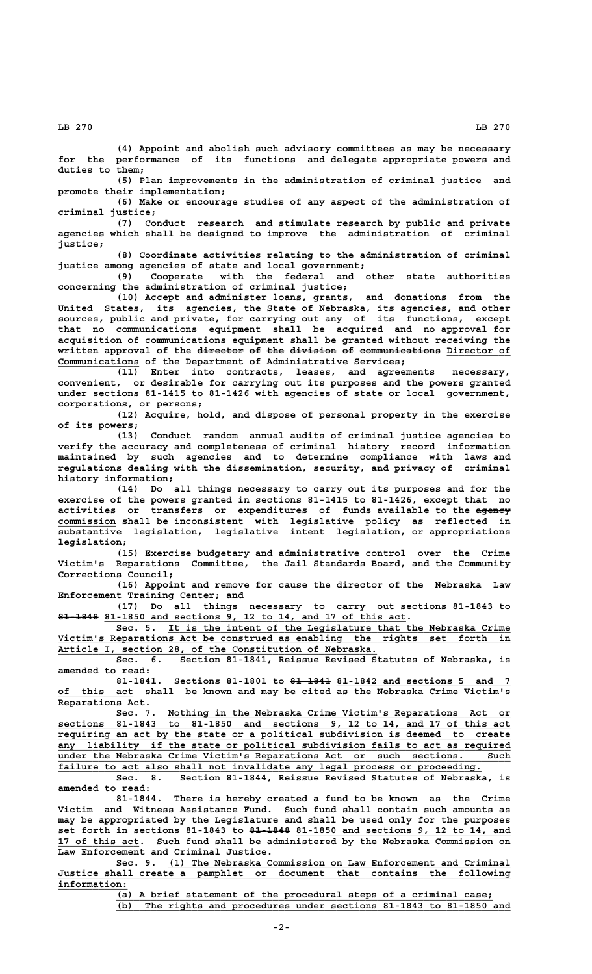**(4) Appoint and abolish such advisory committees as may be necessary for the performance of its functions and delegate appropriate powers and duties to them;**

**(5) Plan improvements in the administration of criminal justice and promote their implementation;**

**(6) Make or encourage studies of any aspect of the administration of criminal justice;**

**(7) Conduct research and stimulate research by public and private agencies which shall be designed to improve the administration of criminal justice;**

**(8) Coordinate activities relating to the administration of criminal justice among agencies of state and local government;**

**(9) Cooperate with the federal and other state authorities concerning the administration of criminal justice;**

**(10) Accept and administer loans, grants, and donations from the United States, its agencies, the State of Nebraska, its agencies, and other sources, public and private, for carrying out any of its functions, except that no communications equipment shall be acquired and no approval for acquisition of communications equipment shall be granted without receiving the** written approval of the director of the division of communications Director of  **\_\_\_\_\_\_\_\_\_\_\_\_\_\_ Communications of the Department of Administrative Services;**

**(11) Enter into contracts, leases, and agreements necessary, convenient, or desirable for carrying out its purposes and the powers granted under sections 81-1415 to 81-1426 with agencies of state or local government, corporations, or persons;**

**(12) Acquire, hold, and dispose of personal property in the exercise of its powers;**

**(13) Conduct random annual audits of criminal justice agencies to verify the accuracy and completeness of criminal history record information maintained by such agencies and to determine compliance with laws and regulations dealing with the dissemination, security, and privacy of criminal history information;**

**(14) Do all things necessary to carry out its purposes and for the exercise of the powers granted in sections 81-1415 to 81-1426, except that no** activities or transfers or expenditures of funds available to the agency  **\_\_\_\_\_\_\_\_\_\_ commission shall be inconsistent with legislative policy as reflected in substantive legislation, legislative intent legislation, or appropriations legislation;**

**(15) Exercise budgetary and administrative control over the Crime Victim's Reparations Committee, the Jail Standards Board, and the Community Corrections Council;**

**(16) Appoint and remove for cause the director of the Nebraska Law Enforcement Training Center; and**

**(17) Do all things necessary to carry out sections 81-1843 to ——————— \_\_\_\_\_\_\_\_\_\_\_\_\_\_\_\_\_\_\_\_\_\_\_\_\_\_\_\_\_\_\_\_\_\_\_\_\_\_\_\_\_\_\_\_\_\_\_\_\_\_\_\_ 81-1848 81-1850 and sections 9, 12 to 14, and 17 of this act.**

 **\_\_\_\_\_\_\_\_\_\_\_\_\_\_\_\_\_\_\_\_\_\_\_\_\_\_\_\_\_\_\_\_\_\_\_\_\_\_\_\_\_\_\_\_\_\_\_\_\_\_\_\_\_\_\_\_\_\_\_ Sec. 5. It is the intent of the Legislature that the Nebraska Crime \_\_\_\_\_\_\_\_\_\_\_\_\_\_\_\_\_\_\_\_\_\_\_\_\_\_\_\_\_\_\_\_\_\_\_\_\_\_\_\_\_\_\_\_\_\_\_\_\_\_\_\_\_\_\_\_\_\_\_\_\_\_\_\_\_\_\_\_\_\_\_\_\_\_\_\_\_\_ Victim's Reparations Act be construed as enabling the rights set forth in \_\_\_\_\_\_\_\_\_\_\_\_\_\_\_\_\_\_\_\_\_\_\_\_\_\_\_\_\_\_\_\_\_\_\_\_\_\_\_\_\_\_\_\_\_\_\_\_\_\_\_\_\_\_\_ Article I, section 28, of the Constitution of Nebraska.**

**Sec. 6. Section 81-1841, Reissue Revised Statutes of Nebraska, is amended to read:**

 **——————— \_\_\_\_\_\_\_\_\_\_\_\_\_\_\_\_\_\_\_\_\_\_\_\_\_\_\_\_\_\_ 81-1841. Sections 81-1801 to 81-1841 81-1842 and sections 5 and 7 \_\_\_\_\_\_\_\_\_\_\_\_\_ of this act shall be known and may be cited as the Nebraska Crime Victim's Reparations Act.**

 **\_\_\_\_\_\_\_\_\_\_\_\_\_\_\_\_\_\_\_\_\_\_\_\_\_\_\_\_\_\_\_\_\_\_\_\_\_\_\_\_\_\_\_\_\_\_\_\_\_\_\_\_\_\_\_\_\_\_\_ Sec. 7. Nothing in the Nebraska Crime Victim's Reparations Act or \_\_\_\_\_\_\_\_\_\_\_\_\_\_\_\_\_\_\_\_\_\_\_\_\_\_\_\_\_\_\_\_\_\_\_\_\_\_\_\_\_\_\_\_\_\_\_\_\_\_\_\_\_\_\_\_\_\_\_\_\_\_\_\_\_\_\_\_\_\_\_\_\_\_\_\_\_\_ sections 81-1843 to 81-1850 and sections 9, 12 to 14, and 17 of this act \_\_\_\_\_\_\_\_\_\_\_\_\_\_\_\_\_\_\_\_\_\_\_\_\_\_\_\_\_\_\_\_\_\_\_\_\_\_\_\_\_\_\_\_\_\_\_\_\_\_\_\_\_\_\_\_\_\_\_\_\_\_\_\_\_\_\_\_\_\_\_\_\_\_\_\_\_\_ requiring an act by the state or a political subdivision is deemed to create \_\_\_\_\_\_\_\_\_\_\_\_\_\_\_\_\_\_\_\_\_\_\_\_\_\_\_\_\_\_\_\_\_\_\_\_\_\_\_\_\_\_\_\_\_\_\_\_\_\_\_\_\_\_\_\_\_\_\_\_\_\_\_\_\_\_\_\_\_\_\_\_\_\_\_\_\_\_ any liability if the state or political subdivision fails to act as required \_\_\_\_\_\_\_\_\_\_\_\_\_\_\_\_\_\_\_\_\_\_\_\_\_\_\_\_\_\_\_\_\_\_\_\_\_\_\_\_\_\_\_\_\_\_\_\_\_\_\_\_\_\_\_\_\_\_\_\_\_\_\_\_\_\_\_\_\_\_\_\_\_\_\_\_\_\_ under the Nebraska Crime Victim's Reparations Act or such sections. Such** failure to act also shall not invalidate any legal process or proceeding.

**Sec. 8. Section 81-1844, Reissue Revised Statutes of Nebraska, is amended to read:**

**81-1844. There is hereby created a fund to be known as the Crime Victim and Witness Assistance Fund. Such fund shall contain such amounts as may be appropriated by the Legislature and shall be used only for the purposes ——————— \_\_\_\_\_\_\_\_\_\_\_\_\_\_\_\_\_\_\_\_\_\_\_\_\_\_\_\_\_\_\_\_\_\_\_\_\_ set forth in sections 81-1843 to 81-1848 81-1850 and sections 9, 12 to 14, and** 17 of this act. Such fund shall be administered by the Nebraska Commission on **Law Enforcement and Criminal Justice.**

Sec. 9. (1) The Nebraska Commission on Law Enforcement and Criminal  **\_\_\_\_\_\_\_\_\_\_\_\_\_\_\_\_\_\_\_\_\_\_\_\_\_\_\_\_\_\_\_\_\_\_\_\_\_\_\_\_\_\_\_\_\_\_\_\_\_\_\_\_\_\_\_\_\_\_\_\_\_\_\_\_\_\_\_\_\_\_\_\_\_\_\_\_\_\_ Justice shall create a pamphlet or document that contains the following information: \_\_\_\_\_\_\_\_\_\_\_\_**

> **\_\_\_\_\_\_\_\_\_\_\_\_\_\_\_\_\_\_\_\_\_\_\_\_\_\_\_\_\_\_\_\_\_\_\_\_\_\_\_\_\_\_\_\_\_\_\_\_\_\_\_\_\_\_\_\_\_\_\_\_\_\_\_\_\_ (a) A brief statement of the procedural steps of a criminal case; \_\_\_\_\_\_\_\_\_\_\_\_\_\_\_\_\_\_\_\_\_\_\_\_\_\_\_\_\_\_\_\_\_\_\_\_\_\_\_\_\_\_\_\_\_\_\_\_\_\_\_\_\_\_\_\_\_\_\_\_\_\_\_\_\_\_\_\_ (b) The rights and procedures under sections 81-1843 to 81-1850 and**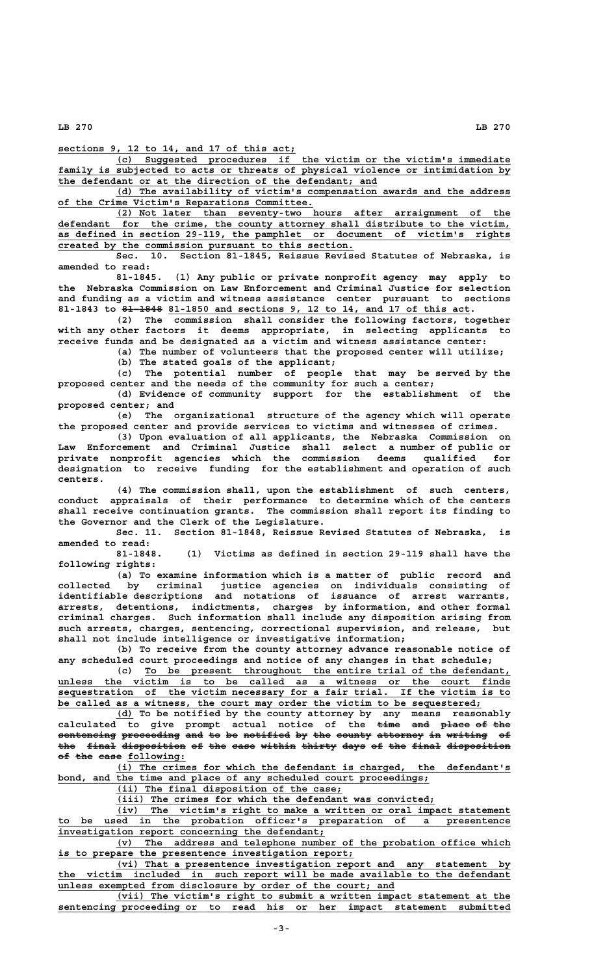**sections 9, 12 to 14, and 17 of this act;** 

 **\_\_\_\_\_\_\_\_\_\_\_\_\_\_\_\_\_\_\_\_\_\_\_\_\_\_\_\_\_\_\_\_\_\_\_\_\_\_\_\_\_\_\_\_\_\_\_\_\_\_\_\_\_\_\_\_\_\_\_\_\_\_\_\_\_\_\_\_ (c) Suggested procedures if the victim or the victim's immediate** family is subjected to acts or threats of physical violence or intimidation by  **\_\_\_\_\_\_\_\_\_\_\_\_\_\_\_\_\_\_\_\_\_\_\_\_\_\_\_\_\_\_\_\_\_\_\_\_\_\_\_\_\_\_\_\_\_\_\_\_\_\_\_\_\_\_\_ the defendant or at the direction of the defendant; and**

 **\_\_\_\_\_\_\_\_\_\_\_\_\_\_\_\_\_\_\_\_\_\_\_\_\_\_\_\_\_\_\_\_\_\_\_\_\_\_\_\_\_\_\_\_\_\_\_\_\_\_\_\_\_\_\_\_\_\_\_\_\_\_\_\_\_\_\_\_ (d) The availability of victim's compensation awards and the address \_\_\_\_\_\_\_\_\_\_\_\_\_\_\_\_\_\_\_\_\_\_\_\_\_\_\_\_\_\_\_\_\_\_\_\_\_\_\_\_\_\_\_\_ of the Crime Victim's Reparations Committee.**

 **\_\_\_\_\_\_\_\_\_\_\_\_\_\_\_\_\_\_\_\_\_\_\_\_\_\_\_\_\_\_\_\_\_\_\_\_\_\_\_\_\_\_\_\_\_\_\_\_\_\_\_\_\_\_\_\_\_\_\_\_\_\_\_\_\_\_\_\_ (2) Not later than seventy-two hours after arraignment of the \_\_\_\_\_\_\_\_\_\_\_\_\_\_\_\_\_\_\_\_\_\_\_\_\_\_\_\_\_\_\_\_\_\_\_\_\_\_\_\_\_\_\_\_\_\_\_\_\_\_\_\_\_\_\_\_\_\_\_\_\_\_\_\_\_\_\_\_\_\_\_\_\_\_\_\_\_\_ defendant for the crime, the county attorney shall distribute to the victim, \_\_\_\_\_\_\_\_\_\_\_\_\_\_\_\_\_\_\_\_\_\_\_\_\_\_\_\_\_\_\_\_\_\_\_\_\_\_\_\_\_\_\_\_\_\_\_\_\_\_\_\_\_\_\_\_\_\_\_\_\_\_\_\_\_\_\_\_\_\_\_\_\_\_\_\_\_\_ as defined in section 29-119, the pamphlet or document of victim's rights**

 **\_\_\_\_\_\_\_\_\_\_\_\_\_\_\_\_\_\_\_\_\_\_\_\_\_\_\_\_\_\_\_\_\_\_\_\_\_\_\_\_\_\_\_\_\_\_\_\_\_\_\_ created by the commission pursuant to this section. Sec. 10. Section 81-1845, Reissue Revised Statutes of Nebraska, is amended to read:**

**81-1845. (1) Any public or private nonprofit agency may apply to the Nebraska Commission on Law Enforcement and Criminal Justice for selection and funding as a victim and witness assistance center pursuant to sections** 81-1843 to <del>81 1848</del> 81-1850 and sections 9, 12 to 14, and 17 of this act.

**(2) The commission shall consider the following factors, together with any other factors it deems appropriate, in selecting applicants to receive funds and be designated as a victim and witness assistance center:**

> **(a) The number of volunteers that the proposed center will utilize; (b) The stated goals of the applicant;**

**(c) The potential number of people that may be served by the**

**proposed center and the needs of the community for such a center; (d) Evidence of community support for the establishment of the**

**proposed center; and (e) The organizational structure of the agency which will operate**

**the proposed center and provide services to victims and witnesses of crimes. (3) Upon evaluation of all applicants, the Nebraska Commission on Law Enforcement and Criminal Justice shall select a number of public or private nonprofit agencies which the commission deems qualified for designation to receive funding for the establishment and operation of such centers.**

**(4) The commission shall, upon the establishment of such centers, conduct appraisals of their performance to determine which of the centers shall receive continuation grants. The commission shall report its finding to the Governor and the Clerk of the Legislature.**

**Sec. 11. Section 81-1848, Reissue Revised Statutes of Nebraska, is amended to read:**

**81-1848. (1) Victims as defined in section 29-119 shall have the following rights:**

**(a) To examine information which is a matter of public record and collected by criminal justice agencies on individuals consisting of identifiable descriptions and notations of issuance of arrest warrants, arrests, detentions, indictments, charges by information, and other formal criminal charges. Such information shall include any disposition arising from such arrests, charges, sentencing, correctional supervision, and release, but shall not include intelligence or investigative information;**

**(b) To receive from the county attorney advance reasonable notice of any scheduled court proceedings and notice of any changes in that schedule;**

 **\_\_\_\_\_\_\_\_\_\_\_\_\_\_\_\_\_\_\_\_\_\_\_\_\_\_\_\_\_\_\_\_\_\_\_\_\_\_\_\_\_\_\_\_\_\_\_\_\_\_\_\_\_\_\_\_\_\_\_\_\_\_\_ (c) To be present throughout the entire trial of the defendant, \_\_\_\_\_\_\_\_\_\_\_\_\_\_\_\_\_\_\_\_\_\_\_\_\_\_\_\_\_\_\_\_\_\_\_\_\_\_\_\_\_\_\_\_\_\_\_\_\_\_\_\_\_\_\_\_\_\_\_\_\_\_\_\_\_\_\_\_\_\_\_\_\_\_\_\_\_\_ unless the victim is to be called as a witness or the court finds \_\_\_\_\_\_\_\_\_\_\_\_\_\_\_\_\_\_\_\_\_\_\_\_\_\_\_\_\_\_\_\_\_\_\_\_\_\_\_\_\_\_\_\_\_\_\_\_\_\_\_\_\_\_\_\_\_\_\_\_\_\_\_\_\_\_\_\_\_\_\_\_\_\_\_\_\_\_ sequestration of the victim necessary for a fair trial. If the victim is to \_\_\_\_\_\_\_\_\_\_\_\_\_\_\_\_\_\_\_\_\_\_\_\_\_\_\_\_\_\_\_\_\_\_\_\_\_\_\_\_\_\_\_\_\_\_\_\_\_\_\_\_\_\_\_\_\_\_\_\_\_\_\_\_\_\_\_\_\_\_\_\_\_ be called as a witness, the court may order the victim to be sequestered;**

 **\_\_\_ (d) To be notified by the county attorney by any means reasonably calculated to give prompt actual notice of the time and place of the ———— ——— ————— —— ——** sentencing proceeding and to be notified by the county attorney in writing of the final disposition of the case within thirty days of the final disposition **of the case following: —— ——— ———— \_\_\_\_\_\_\_\_\_\_**

> **\_\_\_\_\_\_\_\_\_\_\_\_\_\_\_\_\_\_\_\_\_\_\_\_\_\_\_\_\_\_\_\_\_\_\_\_\_\_\_\_\_\_\_\_\_\_\_\_\_\_\_\_\_\_\_\_\_\_\_\_\_\_\_\_\_\_\_\_ (i) The crimes for which the defendant is charged, the defendant's \_\_\_\_\_\_\_\_\_\_\_\_\_\_\_\_\_\_\_\_\_\_\_\_\_\_\_\_\_\_\_\_\_\_\_\_\_\_\_\_\_\_\_\_\_\_\_\_\_\_\_\_\_\_\_\_\_\_\_\_\_\_\_\_ bond, and the time and place of any scheduled court proceedings;**

 **\_\_\_\_\_\_\_\_\_\_\_\_\_\_\_\_\_\_\_\_\_\_\_\_\_\_\_\_\_\_\_\_\_\_\_\_\_\_\_ (ii) The final disposition of the case;**

 **\_\_\_\_\_\_\_\_\_\_\_\_\_\_\_\_\_\_\_\_\_\_\_\_\_\_\_\_\_\_\_\_\_\_\_\_\_\_\_\_\_\_\_\_\_\_\_\_\_\_\_\_\_\_\_ (iii) The crimes for which the defendant was convicted;**

 **\_\_\_\_\_\_\_\_\_\_\_\_\_\_\_\_\_\_\_\_\_\_\_\_\_\_\_\_\_\_\_\_\_\_\_\_\_\_\_\_\_\_\_\_\_\_\_\_\_\_\_\_\_\_\_\_\_\_\_\_\_\_\_\_\_\_\_\_ (iv) The victim's right to make a written or oral impact statement \_\_\_\_\_\_\_\_\_\_\_\_\_\_\_\_\_\_\_\_\_\_\_\_\_\_\_\_\_\_\_\_\_\_\_\_\_\_\_\_\_\_\_\_\_\_\_\_\_\_\_\_\_\_\_\_\_\_\_\_\_\_\_\_\_\_\_\_\_\_\_\_\_\_\_\_\_\_ to be used in the probation officer's preparation of a presentence \_\_\_\_\_\_\_\_\_\_\_\_\_\_\_\_\_\_\_\_\_\_\_\_\_\_\_\_\_\_\_\_\_\_\_\_\_\_\_\_\_\_\_\_\_\_ investigation report concerning the defendant;**

 **\_\_\_\_\_\_\_\_\_\_\_\_\_\_\_\_\_\_\_\_\_\_\_\_\_\_\_\_\_\_\_\_\_\_\_\_\_\_\_\_\_\_\_\_\_\_\_\_\_\_\_\_\_\_\_\_\_\_\_\_\_\_\_\_\_\_\_\_ (v) The address and telephone number of the probation office which \_\_\_\_\_\_\_\_\_\_\_\_\_\_\_\_\_\_\_\_\_\_\_\_\_\_\_\_\_\_\_\_\_\_\_\_\_\_\_\_\_\_\_\_\_\_\_\_\_\_\_ is to prepare the presentence investigation report;**

 **\_\_\_\_\_\_\_\_\_\_\_\_\_\_\_\_\_\_\_\_\_\_\_\_\_\_\_\_\_\_\_\_\_\_\_\_\_\_\_\_\_\_\_\_\_\_\_\_\_\_\_\_\_\_\_\_\_\_\_\_\_\_\_\_\_\_\_\_ (vi) That a presentence investigation report and any statement by \_\_\_\_\_\_\_\_\_\_\_\_\_\_\_\_\_\_\_\_\_\_\_\_\_\_\_\_\_\_\_\_\_\_\_\_\_\_\_\_\_\_\_\_\_\_\_\_\_\_\_\_\_\_\_\_\_\_\_\_\_\_\_\_\_\_\_\_\_\_\_\_\_\_\_\_\_\_ the victim included in such report will be made available to the defendant \_\_\_\_\_\_\_\_\_\_\_\_\_\_\_\_\_\_\_\_\_\_\_\_\_\_\_\_\_\_\_\_\_\_\_\_\_\_\_\_\_\_\_\_\_\_\_\_\_\_\_\_\_\_\_\_\_\_ unless exempted from disclosure by order of the court; and**

 **\_\_\_\_\_\_\_\_\_\_\_\_\_\_\_\_\_\_\_\_\_\_\_\_\_\_\_\_\_\_\_\_\_\_\_\_\_\_\_\_\_\_\_\_\_\_\_\_\_\_\_\_\_\_\_\_\_\_\_\_\_\_\_\_\_\_\_\_ (vii) The victim's right to submit a written impact statement at the \_\_\_\_\_\_\_\_\_\_\_\_\_\_\_\_\_\_\_\_\_\_\_\_\_\_\_\_\_\_\_\_\_\_\_\_\_\_\_\_\_\_\_\_\_\_\_\_\_\_\_\_\_\_\_\_\_\_\_\_\_\_\_\_\_\_\_\_\_\_\_\_\_\_\_\_\_\_ sentencing proceeding or to read his or her impact statement submitted**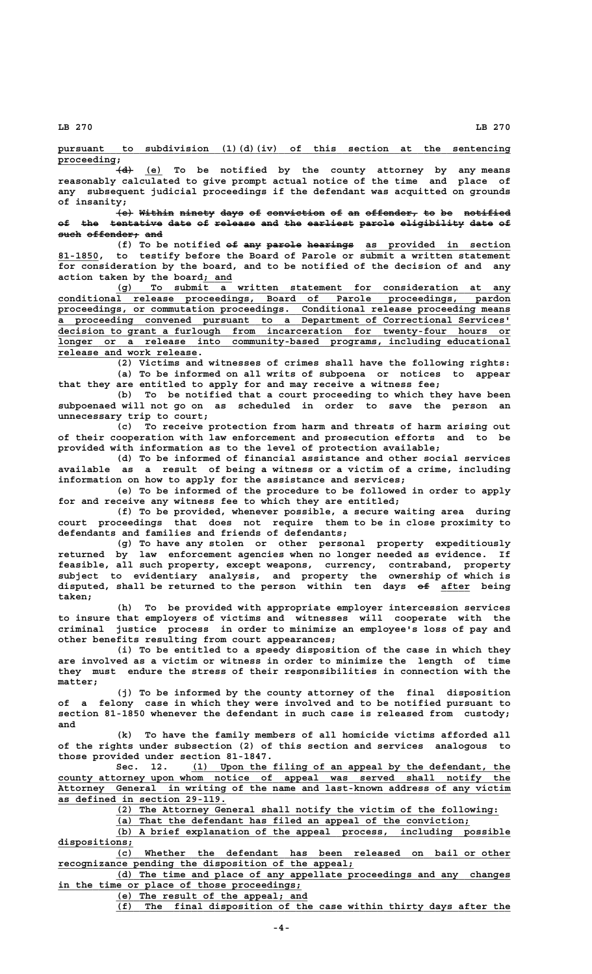**\_\_\_\_\_\_\_\_\_\_\_\_\_\_\_\_\_\_\_\_\_\_\_\_\_\_\_\_\_\_\_\_\_\_\_\_\_\_\_\_\_\_\_\_\_\_\_\_\_\_\_\_\_\_\_\_\_\_\_\_\_\_\_\_\_\_\_\_\_\_\_\_\_\_\_\_\_\_ pursuant to subdivision (1)(d)(iv) of this section at the sentencing**

 **proceeding; \_\_\_\_\_\_\_\_\_\_ ——— \_\_\_ (d) (e) To be notified by the county attorney by any means reasonably calculated to give prompt actual notice of the time and place of any subsequent judicial proceedings if the defendant was acquitted on grounds of insanity;**

> $\{e\}$  Within ninety days of conviction of an offender<sub>7</sub> to be notified of the tentative date of release and the earliest parole eligibility date of **such offender; and ———— ————————— ———**

(f) To be notified  $e^{\pm}$  any parole hearings as provided in section  **\_\_\_\_\_\_\_ 81-1850, to testify before the Board of Parole or submit a written statement for consideration by the board, and to be notified of the decision of and any \_\_\_\_\_ action taken by the board; and**

 **\_\_\_\_\_\_\_\_\_\_\_\_\_\_\_\_\_\_\_\_\_\_\_\_\_\_\_\_\_\_\_\_\_\_\_\_\_\_\_\_\_\_\_\_\_\_\_\_\_\_\_\_\_\_\_\_\_\_\_\_\_\_\_\_\_\_\_\_ (g) To submit a written statement for consideration at any \_\_\_\_\_\_\_\_\_\_\_\_\_\_\_\_\_\_\_\_\_\_\_\_\_\_\_\_\_\_\_\_\_\_\_\_\_\_\_\_\_\_\_\_\_\_\_\_\_\_\_\_\_\_\_\_\_\_\_\_\_\_\_\_\_\_\_\_\_\_\_\_\_\_\_\_\_\_ conditional release proceedings, Board of Parole proceedings, pardon \_\_\_\_\_\_\_\_\_\_\_\_\_\_\_\_\_\_\_\_\_\_\_\_\_\_\_\_\_\_\_\_\_\_\_\_\_\_\_\_\_\_\_\_\_\_\_\_\_\_\_\_\_\_\_\_\_\_\_\_\_\_\_\_\_\_\_\_\_\_\_\_\_\_\_\_\_\_ proceedings, or commutation proceedings. Conditional release proceeding means \_\_\_\_\_\_\_\_\_\_\_\_\_\_\_\_\_\_\_\_\_\_\_\_\_\_\_\_\_\_\_\_\_\_\_\_\_\_\_\_\_\_\_\_\_\_\_\_\_\_\_\_\_\_\_\_\_\_\_\_\_\_\_\_\_\_\_\_\_\_\_\_\_\_\_\_\_\_ a proceeding convened pursuant to a Department of Correctional Services' \_\_\_\_\_\_\_\_\_\_\_\_\_\_\_\_\_\_\_\_\_\_\_\_\_\_\_\_\_\_\_\_\_\_\_\_\_\_\_\_\_\_\_\_\_\_\_\_\_\_\_\_\_\_\_\_\_\_\_\_\_\_\_\_\_\_\_\_\_\_\_\_\_\_\_\_\_\_ decision to grant a furlough from incarceration for twenty-four hours or \_\_\_\_\_\_\_\_\_\_\_\_\_\_\_\_\_\_\_\_\_\_\_\_\_\_\_\_\_\_\_\_\_\_\_\_\_\_\_\_\_\_\_\_\_\_\_\_\_\_\_\_\_\_\_\_\_\_\_\_\_\_\_\_\_\_\_\_\_\_\_\_\_\_\_\_\_\_ longer or a release into community-based programs, including educational \_\_\_\_\_\_\_\_\_\_\_\_\_\_\_\_\_\_\_\_\_\_\_\_ release and work release.**

> **(2) Victims and witnesses of crimes shall have the following rights: (a) To be informed on all writs of subpoena or notices to appear that they are entitled to apply for and may receive a witness fee;**

> **(b) To be notified that a court proceeding to which they have been subpoenaed will not go on as scheduled in order to save the person an unnecessary trip to court;**

> **(c) To receive protection from harm and threats of harm arising out of their cooperation with law enforcement and prosecution efforts and to be provided with information as to the level of protection available;**

> **(d) To be informed of financial assistance and other social services available as a result of being a witness or a victim of a crime, including information on how to apply for the assistance and services;**

> **(e) To be informed of the procedure to be followed in order to apply for and receive any witness fee to which they are entitled;**

> **(f) To be provided, whenever possible, a secure waiting area during court proceedings that does not require them to be in close proximity to defendants and families and friends of defendants;**

> **(g) To have any stolen or other personal property expeditiously returned by law enforcement agencies when no longer needed as evidence. If feasible, all such property, except weapons, currency, contraband, property subject to evidentiary analysis, and property the ownership of which is** disputed, shall be returned to the person within ten days  $e^{\frac{f}{2}}$  after being  **taken;**

> **(h) To be provided with appropriate employer intercession services to insure that employers of victims and witnesses will cooperate with the criminal justice process in order to minimize an employee's loss of pay and other benefits resulting from court appearances;**

> **(i) To be entitled to a speedy disposition of the case in which they are involved as a victim or witness in order to minimize the length of time they must endure the stress of their responsibilities in connection with the matter;**

> **(j) To be informed by the county attorney of the final disposition of a felony case in which they were involved and to be notified pursuant to section 81-1850 whenever the defendant in such case is released from custody; and**

> **(k) To have the family members of all homicide victims afforded all of the rights under subsection (2) of this section and services analogous to those provided under section 81-1847.**

 **\_\_\_\_\_\_\_\_\_\_\_\_\_\_\_\_\_\_\_\_\_\_\_\_\_\_\_\_\_\_\_\_\_\_\_\_\_\_\_\_\_\_\_\_\_\_\_\_\_\_\_\_\_\_\_ Sec. 12. (1) Upon the filing of an appeal by the defendant, the \_\_\_\_\_\_\_\_\_\_\_\_\_\_\_\_\_\_\_\_\_\_\_\_\_\_\_\_\_\_\_\_\_\_\_\_\_\_\_\_\_\_\_\_\_\_\_\_\_\_\_\_\_\_\_\_\_\_\_\_\_\_\_\_\_\_\_\_\_\_\_\_\_\_\_\_\_\_ county attorney upon whom notice of appeal was served shall notify the \_\_\_\_\_\_\_\_\_\_\_\_\_\_\_\_\_\_\_\_\_\_\_\_\_\_\_\_\_\_\_\_\_\_\_\_\_\_\_\_\_\_\_\_\_\_\_\_\_\_\_\_\_\_\_\_\_\_\_\_\_\_\_\_\_\_\_\_\_\_\_\_\_\_\_\_\_\_ Attorney General in writing of the name and last-known address of any victim \_\_\_\_\_\_\_\_\_\_\_\_\_\_\_\_\_\_\_\_\_\_\_\_\_\_\_\_\_ as defined in section 29-119.**

 **\_\_\_\_\_\_\_\_\_\_\_\_\_\_\_\_\_\_\_\_\_\_\_\_\_\_\_\_\_\_\_\_\_\_\_\_\_\_\_\_\_\_\_\_\_\_\_\_\_\_\_\_\_\_\_\_\_\_\_\_\_\_\_\_\_\_ (2) The Attorney General shall notify the victim of the following:**

 **\_\_\_\_\_\_\_\_\_\_\_\_\_\_\_\_\_\_\_\_\_\_\_\_\_\_\_\_\_\_\_\_\_\_\_\_\_\_\_\_\_\_\_\_\_\_\_\_\_\_\_\_\_\_\_\_\_\_\_\_\_ (a) That the defendant has filed an appeal of the conviction;**

 **\_\_\_\_\_\_\_\_\_\_\_\_\_\_\_\_\_\_\_\_\_\_\_\_\_\_\_\_\_\_\_\_\_\_\_\_\_\_\_\_\_\_\_\_\_\_\_\_\_\_\_\_\_\_\_\_\_\_\_\_\_\_\_\_\_\_\_\_ (b) A brief explanation of the appeal process, including possible dispositions; \_\_\_\_\_\_\_\_\_\_\_\_\_**

 **\_\_\_\_\_\_\_\_\_\_\_\_\_\_\_\_\_\_\_\_\_\_\_\_\_\_\_\_\_\_\_\_\_\_\_\_\_\_\_\_\_\_\_\_\_\_\_\_\_\_\_\_\_\_\_\_\_\_\_\_\_\_\_\_\_\_\_\_ (c) Whether the defendant has been released on bail or other \_\_\_\_\_\_\_\_\_\_\_\_\_\_\_\_\_\_\_\_\_\_\_\_\_\_\_\_\_\_\_\_\_\_\_\_\_\_\_\_\_\_\_\_\_\_\_\_\_\_\_ recognizance pending the disposition of the appeal;**

 **\_\_\_\_\_\_\_\_\_\_\_\_\_\_\_\_\_\_\_\_\_\_\_\_\_\_\_\_\_\_\_\_\_\_\_\_\_\_\_\_\_\_\_\_\_\_\_\_\_\_\_\_\_\_\_\_\_\_\_\_\_\_\_\_\_\_\_\_ (d) The time and place of any appellate proceedings and any changes** in the time or place of those proceedings;

 **\_\_\_\_\_\_\_\_\_\_\_\_\_\_\_\_\_\_\_\_\_\_\_\_\_\_\_\_\_\_\_\_\_ (e) The result of the appeal; and**

 **\_\_\_\_\_\_\_\_\_\_\_\_\_\_\_\_\_\_\_\_\_\_\_\_\_\_\_\_\_\_\_\_\_\_\_\_\_\_\_\_\_\_\_\_\_\_\_\_\_\_\_\_\_\_\_\_\_\_\_\_\_\_\_\_\_\_\_\_ (f) The final disposition of the case within thirty days after the**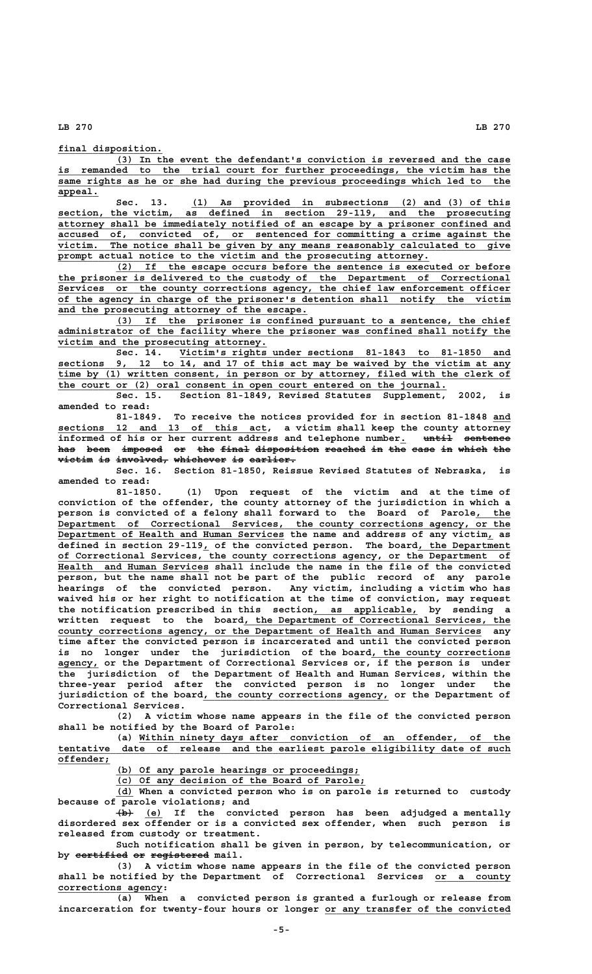**final disposition. \_\_\_\_\_\_\_\_\_\_\_\_\_\_\_\_\_\_**

 **\_\_\_\_\_\_\_\_\_\_\_\_\_\_\_\_\_\_\_\_\_\_\_\_\_\_\_\_\_\_\_\_\_\_\_\_\_\_\_\_\_\_\_\_\_\_\_\_\_\_\_\_\_\_\_\_\_\_\_\_\_\_\_\_\_\_\_\_ (3) In the event the defendant's conviction is reversed and the case** is remanded to the trial court for further proceedings, the victim has the same rights as he or she had during the previous proceedings which led to the  **appeal. \_\_\_\_\_\_\_**

Sec. 13. (1) As provided in subsections (2) and (3) of this **section, the victim, as defined in section 29-119, and the prosecuting** attorney shall be immediately notified of an escape by a prisoner confined and  **\_\_\_\_\_\_\_\_\_\_\_\_\_\_\_\_\_\_\_\_\_\_\_\_\_\_\_\_\_\_\_\_\_\_\_\_\_\_\_\_\_\_\_\_\_\_\_\_\_\_\_\_\_\_\_\_\_\_\_\_\_\_\_\_\_\_\_\_\_\_\_\_\_\_\_\_\_\_ accused of, convicted of, or sentenced for committing a crime against the \_\_\_\_\_\_\_\_\_\_\_\_\_\_\_\_\_\_\_\_\_\_\_\_\_\_\_\_\_\_\_\_\_\_\_\_\_\_\_\_\_\_\_\_\_\_\_\_\_\_\_\_\_\_\_\_\_\_\_\_\_\_\_\_\_\_\_\_\_\_\_\_\_\_\_\_\_\_ victim. The notice shall be given by any means reasonably calculated to give** prompt actual notice to the victim and the prosecuting attorney.

 **\_\_\_\_\_\_\_\_\_\_\_\_\_\_\_\_\_\_\_\_\_\_\_\_\_\_\_\_\_\_\_\_\_\_\_\_\_\_\_\_\_\_\_\_\_\_\_\_\_\_\_\_\_\_\_\_\_\_\_\_\_\_\_\_\_\_\_\_ (2) If the escape occurs before the sentence is executed or before \_\_\_\_\_\_\_\_\_\_\_\_\_\_\_\_\_\_\_\_\_\_\_\_\_\_\_\_\_\_\_\_\_\_\_\_\_\_\_\_\_\_\_\_\_\_\_\_\_\_\_\_\_\_\_\_\_\_\_\_\_\_\_\_\_\_\_\_\_\_\_\_\_\_\_\_\_\_ the prisoner is delivered to the custody of the Department of Correctional \_\_\_\_\_\_\_\_\_\_\_\_\_\_\_\_\_\_\_\_\_\_\_\_\_\_\_\_\_\_\_\_\_\_\_\_\_\_\_\_\_\_\_\_\_\_\_\_\_\_\_\_\_\_\_\_\_\_\_\_\_\_\_\_\_\_\_\_\_\_\_\_\_\_\_\_\_\_ Services or the county corrections agency, the chief law enforcement officer \_\_\_\_\_\_\_\_\_\_\_\_\_\_\_\_\_\_\_\_\_\_\_\_\_\_\_\_\_\_\_\_\_\_\_\_\_\_\_\_\_\_\_\_\_\_\_\_\_\_\_\_\_\_\_\_\_\_\_\_\_\_\_\_\_\_\_\_\_\_\_\_\_\_\_\_\_\_ of the agency in charge of the prisoner's detention shall notify the victim \_\_\_\_\_\_\_\_\_\_\_\_\_\_\_\_\_\_\_\_\_\_\_\_\_\_\_\_\_\_\_\_\_\_\_\_\_\_\_\_\_\_\_ and the prosecuting attorney of the escape.**

 **\_\_\_\_\_\_\_\_\_\_\_\_\_\_\_\_\_\_\_\_\_\_\_\_\_\_\_\_\_\_\_\_\_\_\_\_\_\_\_\_\_\_\_\_\_\_\_\_\_\_\_\_\_\_\_\_\_\_\_\_\_\_\_\_\_\_\_\_ (3) If the prisoner is confined pursuant to a sentence, the chief \_\_\_\_\_\_\_\_\_\_\_\_\_\_\_\_\_\_\_\_\_\_\_\_\_\_\_\_\_\_\_\_\_\_\_\_\_\_\_\_\_\_\_\_\_\_\_\_\_\_\_\_\_\_\_\_\_\_\_\_\_\_\_\_\_\_\_\_\_\_\_\_\_\_\_\_\_\_ administrator of the facility where the prisoner was confined shall notify the \_\_\_\_\_\_\_\_\_\_\_\_\_\_\_\_\_\_\_\_\_\_\_\_\_\_\_\_\_\_\_\_\_\_\_\_ victim and the prosecuting attorney.**

 **Sec. 14.** Victim's rights under sections 81-1843 to 81-1850 and 9, 12 to 14, and 17 of this act may be waived by the victim at any  **\_\_\_\_\_\_\_\_\_\_\_\_\_\_\_\_\_\_\_\_\_\_\_\_\_\_\_\_\_\_\_\_\_\_\_\_\_\_\_\_\_\_\_\_\_\_\_\_\_\_\_\_\_\_\_\_\_\_\_\_\_\_\_\_\_\_\_\_\_\_\_\_\_\_\_\_\_\_ sections 9, 12 to 14, and 17 of this act may be waived by the victim at any \_\_\_\_\_\_\_\_\_\_\_\_\_\_\_\_\_\_\_\_\_\_\_\_\_\_\_\_\_\_\_\_\_\_\_\_\_\_\_\_\_\_\_\_\_\_\_\_\_\_\_\_\_\_\_\_\_\_\_\_\_\_\_\_\_\_\_\_\_\_\_\_\_\_\_\_\_\_ time by (1) written consent, in person or by attorney, filed with the clerk of \_\_\_\_\_\_\_\_\_\_\_\_\_\_\_\_\_\_\_\_\_\_\_\_\_\_\_\_\_\_\_\_\_\_\_\_\_\_\_\_\_\_\_\_\_\_\_\_\_\_\_\_\_\_\_\_\_\_\_\_\_\_\_\_\_\_\_ the court or (2) oral consent in open court entered on the journal.**

**Sec. 15. Section 81-1849, Revised Statutes Supplement, 2002, is amended to read:**

81-1849. To receive the notices provided for in section 81-1848 and  **\_\_\_\_\_\_\_\_\_\_\_\_\_\_\_\_\_\_\_\_\_\_\_\_\_\_\_\_\_\_\_\_\_\_\_\_ sections 12 and 13 of this act, a victim shall keep the county attorney** informed of his or her current address and telephone number<sub>1</sub> until sentence has been imposed or the final disposition reached in the case in which the victim is involved, whichever is earlier.

**Sec. 16. Section 81-1850, Reissue Revised Statutes of Nebraska, is amended to read:**

**81-1850. (1) Upon request of the victim and at the time of conviction of the offender, the county attorney of the jurisdiction in which a person is convicted of a felony shall forward to the Board of Parole, the \_\_\_\_\_\_**  $Department of Correctional Services, the country corrections agency, or the$ Department of Health and Human Services the name and address of any victim, as  **\_ \_\_\_\_\_\_\_\_\_\_\_\_\_\_\_\_ defined in section 29-119, of the convicted person. The board, the Department \_\_\_\_\_\_\_\_\_\_\_\_\_\_\_\_\_\_\_\_\_\_\_\_\_\_\_\_\_\_\_\_\_\_\_\_\_\_\_\_\_\_\_\_\_\_\_\_\_\_\_\_\_\_\_\_\_\_\_\_\_\_\_\_\_\_\_\_\_\_\_\_\_\_\_\_\_\_ of Correctional Services, the county corrections agency, or the Department of \_\_\_\_\_\_\_\_\_\_\_\_\_\_\_\_\_\_\_\_\_\_\_\_\_\_ Health and Human Services shall include the name in the file of the convicted person, but the name shall not be part of the public record of any parole hearings of the convicted person. Any victim, including a victim who has waived his or her right to notification at the time of conviction, may request \_\_\_\_\_\_\_\_\_\_\_\_\_\_\_\_\_\_ the notification prescribed in this section, as applicable, by sending a** written request to the board, the Department of Correctional Services, the  **\_\_\_\_\_\_\_\_\_\_\_\_\_\_\_\_\_\_\_\_\_\_\_\_\_\_\_\_\_\_\_\_\_\_\_\_\_\_\_\_\_\_\_\_\_\_\_\_\_\_\_\_\_\_\_\_\_\_\_\_\_\_\_\_\_\_\_\_\_\_\_\_\_ county corrections agency, or the Department of Health and Human Services any time after the convicted person is incarcerated and until the convicted person** is no longer under the jurisdiction of the board, the county corrections  **\_\_\_\_\_\_\_ agency, or the Department of Correctional Services or, if the person is under the jurisdiction of the Department of Health and Human Services, within the three-year period after the convicted person is no longer under the \_\_\_\_\_\_\_\_\_\_\_\_\_\_\_\_\_\_\_\_\_\_\_\_\_\_\_\_\_\_\_\_ jurisdiction of the board, the county corrections agency, or the Department of Correctional Services.**

**(2) A victim whose name appears in the file of the convicted person shall be notified by the Board of Parole:**

(a) Within ninety days after conviction of an offender, of the  **\_\_\_\_\_\_\_\_\_\_\_\_\_\_\_\_\_\_\_\_\_\_\_\_\_\_\_\_\_\_\_\_\_\_\_\_\_\_\_\_\_\_\_\_\_\_\_\_\_\_\_\_\_\_\_\_\_\_\_\_\_\_\_\_\_\_\_\_\_\_\_\_\_\_\_\_\_\_ tentative date of release and the earliest parole eligibility date of such offender; \_\_\_\_\_\_\_\_\_**

 **\_\_\_\_\_\_\_\_\_\_\_\_\_\_\_\_\_\_\_\_\_\_\_\_\_\_\_\_\_\_\_\_\_\_\_\_\_\_\_\_\_\_ (b) Of any parole hearings or proceedings;**

 **\_\_\_\_\_\_\_\_\_\_\_\_\_\_\_\_\_\_\_\_\_\_\_\_\_\_\_\_\_\_\_\_\_\_\_\_\_\_\_\_\_\_\_ (c) Of any decision of the Board of Parole;**

 **\_\_\_ (d) When a convicted person who is on parole is returned to custody because of parole violations; and**

 **——— \_\_\_ (b) (e) If the convicted person has been adjudged a mentally disordered sex offender or is a convicted sex offender, when such person is released from custody or treatment.**

**Such notification shall be given in person, by telecommunication, or** by certified or registered mail.

**(3) A victim whose name appears in the file of the convicted person** shall be notified by the Department of Correctional Services or a county  **corrections agency: \_\_\_\_\_\_\_\_\_\_\_\_\_\_\_\_\_\_**

**(a) When a convicted person is granted a furlough or release from** incarceration for twenty-four hours or longer or any transfer of the convicted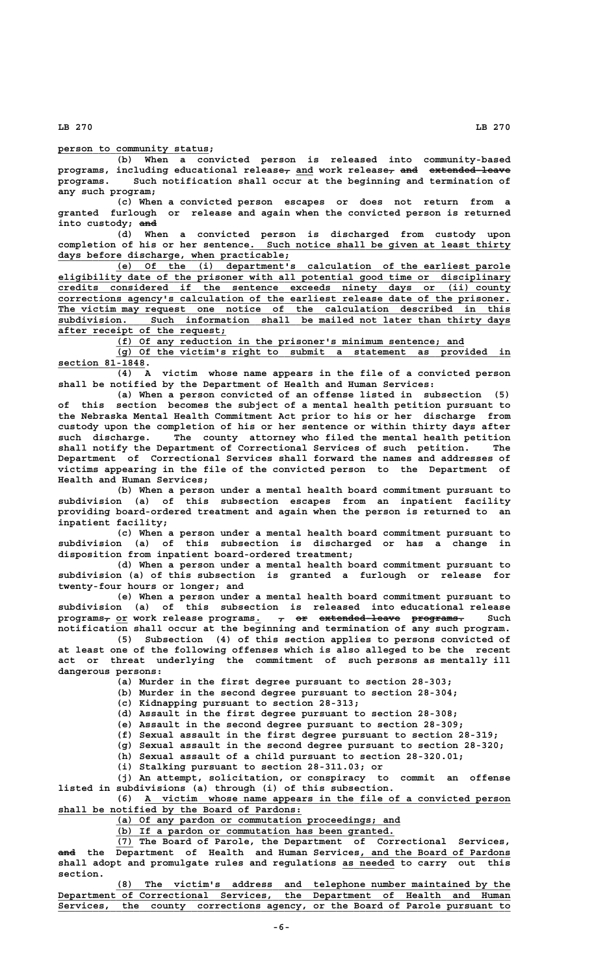## **\_\_\_\_\_\_\_\_\_\_\_\_\_\_\_\_\_\_\_\_\_\_\_\_\_\_ person to community status;**

**(b) When a convicted person is released into community-based** programs, including educational release<sub>7</sub> and work release<sub>7</sub> and extended-leave **programs. Such notification shall occur at the beginning and termination of any such program;**

**(c) When a convicted person escapes or does not return from a granted furlough or release and again when the convicted person is returned** into custody; and

**(d) When a convicted person is discharged from custody upon** completion of his or her sentence. Such notice shall be given at least thirty  **\_\_\_\_\_\_\_\_\_\_\_\_\_\_\_\_\_\_\_\_\_\_\_\_\_\_\_\_\_\_\_\_\_\_\_\_\_\_\_\_ days before discharge, when practicable;**

 **\_\_\_\_\_\_\_\_\_\_\_\_\_\_\_\_\_\_\_\_\_\_\_\_\_\_\_\_\_\_\_\_\_\_\_\_\_\_\_\_\_\_\_\_\_\_\_\_\_\_\_\_\_\_\_\_\_\_\_\_\_\_\_\_\_\_\_\_ (e) Of the (i) department's calculation of the earliest parole \_\_\_\_\_\_\_\_\_\_\_\_\_\_\_\_\_\_\_\_\_\_\_\_\_\_\_\_\_\_\_\_\_\_\_\_\_\_\_\_\_\_\_\_\_\_\_\_\_\_\_\_\_\_\_\_\_\_\_\_\_\_\_\_\_\_\_\_\_\_\_\_\_\_\_\_\_\_ eligibility date of the prisoner with all potential good time or disciplinary \_\_\_\_\_\_\_\_\_\_\_\_\_\_\_\_\_\_\_\_\_\_\_\_\_\_\_\_\_\_\_\_\_\_\_\_\_\_\_\_\_\_\_\_\_\_\_\_\_\_\_\_\_\_\_\_\_\_\_\_\_\_\_\_\_\_\_\_\_\_\_\_\_\_\_\_\_\_ credits considered if the sentence exceeds ninety days or (ii) county \_\_\_\_\_\_\_\_\_\_\_\_\_\_\_\_\_\_\_\_\_\_\_\_\_\_\_\_\_\_\_\_\_\_\_\_\_\_\_\_\_\_\_\_\_\_\_\_\_\_\_\_\_\_\_\_\_\_\_\_\_\_\_\_\_\_\_\_\_\_\_\_\_\_\_\_\_\_ corrections agency's calculation of the earliest release date of the prisoner. \_\_\_\_\_\_\_\_\_\_\_\_\_\_\_\_\_\_\_\_\_\_\_\_\_\_\_\_\_\_\_\_\_\_\_\_\_\_\_\_\_\_\_\_\_\_\_\_\_\_\_\_\_\_\_\_\_\_\_\_\_\_\_\_\_\_\_\_\_\_\_\_\_\_\_\_\_\_ The victim may request one notice of the calculation described in this \_\_\_\_\_\_\_\_\_\_\_\_\_\_\_\_\_\_\_\_\_\_\_\_\_\_\_\_\_\_\_\_\_\_\_\_\_\_\_\_\_\_\_\_\_\_\_\_\_\_\_\_\_\_\_\_\_\_\_\_\_\_\_\_\_\_\_\_\_\_\_\_\_\_\_\_\_\_ subdivision. Such information shall be mailed not later than thirty days \_\_\_\_\_\_\_\_\_\_\_\_\_\_\_\_\_\_\_\_\_\_\_\_\_\_\_\_\_ after receipt of the request;**

 **\_\_\_\_\_\_\_\_\_\_\_\_\_\_\_\_\_\_\_\_\_\_\_\_\_\_\_\_\_\_\_\_\_\_\_\_\_\_\_\_\_\_\_\_\_\_\_\_\_\_\_\_\_\_\_\_\_\_\_\_ (f) Of any reduction in the prisoner's minimum sentence; and**

 **\_\_\_\_\_\_\_\_\_\_\_\_\_\_\_\_\_\_\_\_\_\_\_\_\_\_\_\_\_\_\_\_\_\_\_\_\_\_\_\_\_\_\_\_\_\_\_\_\_\_\_\_\_\_\_\_\_\_\_\_\_\_\_\_\_\_\_\_ (g) Of the victim's right to submit a statement as provided in section 81-1848. \_\_\_\_\_\_\_\_\_\_\_\_\_\_\_**

**(4) A victim whose name appears in the file of a convicted person shall be notified by the Department of Health and Human Services:**

**(a) When a person convicted of an offense listed in subsection (5) of this section becomes the subject of a mental health petition pursuant to the Nebraska Mental Health Commitment Act prior to his or her discharge from custody upon the completion of his or her sentence or within thirty days after such discharge. The county attorney who filed the mental health petition shall notify the Department of Correctional Services of such petition. The Department of Correctional Services shall forward the names and addresses of victims appearing in the file of the convicted person to the Department of Health and Human Services;**

**(b) When a person under a mental health board commitment pursuant to subdivision (a) of this subsection escapes from an inpatient facility providing board-ordered treatment and again when the person is returned to an inpatient facility;**

**(c) When a person under a mental health board commitment pursuant to subdivision (a) of this subsection is discharged or has a change in disposition from inpatient board-ordered treatment;**

**(d) When a person under a mental health board commitment pursuant to subdivision (a) of this subsection is granted a furlough or release for twenty-four hours or longer; and**

**(e) When a person under a mental health board commitment pursuant to subdivision (a) of this subsection is released into educational release**  $\frac{\text{programs}}{\text{r}}$  or work release programs.  $\frac{\text{r}}{\text{r}}$  or extended-leave programs. Such **notification shall occur at the beginning and termination of any such program.**

**(5) Subsection (4) of this section applies to persons convicted of at least one of the following offenses which is also alleged to be the recent act or threat underlying the commitment of such persons as mentally ill dangerous persons:**

**(a) Murder in the first degree pursuant to section 28-303;**

**(b) Murder in the second degree pursuant to section 28-304;**

**(c) Kidnapping pursuant to section 28-313;**

**(d) Assault in the first degree pursuant to section 28-308;**

**(e) Assault in the second degree pursuant to section 28-309;**

**(f) Sexual assault in the first degree pursuant to section 28-319;**

**(g) Sexual assault in the second degree pursuant to section 28-320; (h) Sexual assault of a child pursuant to section 28-320.01;**

**(i) Stalking pursuant to section 28-311.03; or**

**(j) An attempt, solicitation, or conspiracy to commit an offense listed in subdivisions (a) through (i) of this subsection.**

 **\_\_\_\_\_\_\_\_\_\_\_\_\_\_\_\_\_\_\_\_\_\_\_\_\_\_\_\_\_\_\_\_\_\_\_\_\_\_\_\_\_\_\_\_\_\_\_\_\_\_\_\_\_\_\_\_\_\_\_\_\_\_\_ (6) A victim whose name appears in the file of a convicted person** shall be notified by the Board of Pardons:

 **\_\_\_\_\_\_\_\_\_\_\_\_\_\_\_\_\_\_\_\_\_\_\_\_\_\_\_\_\_\_\_\_\_\_\_\_\_\_\_\_\_\_\_\_\_\_\_\_\_ (a) Of any pardon or commutation proceedings; and**

 **\_\_\_\_\_\_\_\_\_\_\_\_\_\_\_\_\_\_\_\_\_\_\_\_\_\_\_\_\_\_\_\_\_\_\_\_\_\_\_\_\_\_\_\_\_\_\_\_ (b) If a pardon or commutation has been granted.**

 **\_\_\_ (7) The Board of Parole, the Department of Correctional Services, ——— \_\_\_\_\_\_\_\_\_\_\_\_\_\_\_\_\_\_\_\_\_\_\_\_\_\_ and the Department of Health and Human Services, and the Board of Pardons** shall adopt and promulgate rules and regulations as needed to carry out this  **section.**

 **\_\_\_\_\_\_\_\_\_\_\_\_\_\_\_\_\_\_\_\_\_\_\_\_\_\_\_\_\_\_\_\_\_\_\_\_\_\_\_\_\_\_\_\_\_\_\_\_\_\_\_\_\_\_\_\_\_\_\_\_\_\_\_\_\_\_\_\_ (8) The victim's address and telephone number maintained by the \_\_\_\_\_\_\_\_\_\_\_\_\_\_\_\_\_\_\_\_\_\_\_\_\_\_\_\_\_\_\_\_\_\_\_\_\_\_\_\_\_\_\_\_\_\_\_\_\_\_\_\_\_\_\_\_\_\_\_\_\_\_\_\_\_\_\_\_\_\_\_\_\_\_\_\_\_\_ Department of Correctional Services, the Department of Health and Human \_\_\_\_\_\_\_\_\_\_\_\_\_\_\_\_\_\_\_\_\_\_\_\_\_\_\_\_\_\_\_\_\_\_\_\_\_\_\_\_\_\_\_\_\_\_\_\_\_\_\_\_\_\_\_\_\_\_\_\_\_\_\_\_\_\_\_\_\_\_\_\_\_\_\_\_\_\_ Services, the county corrections agency, or the Board of Parole pursuant to**